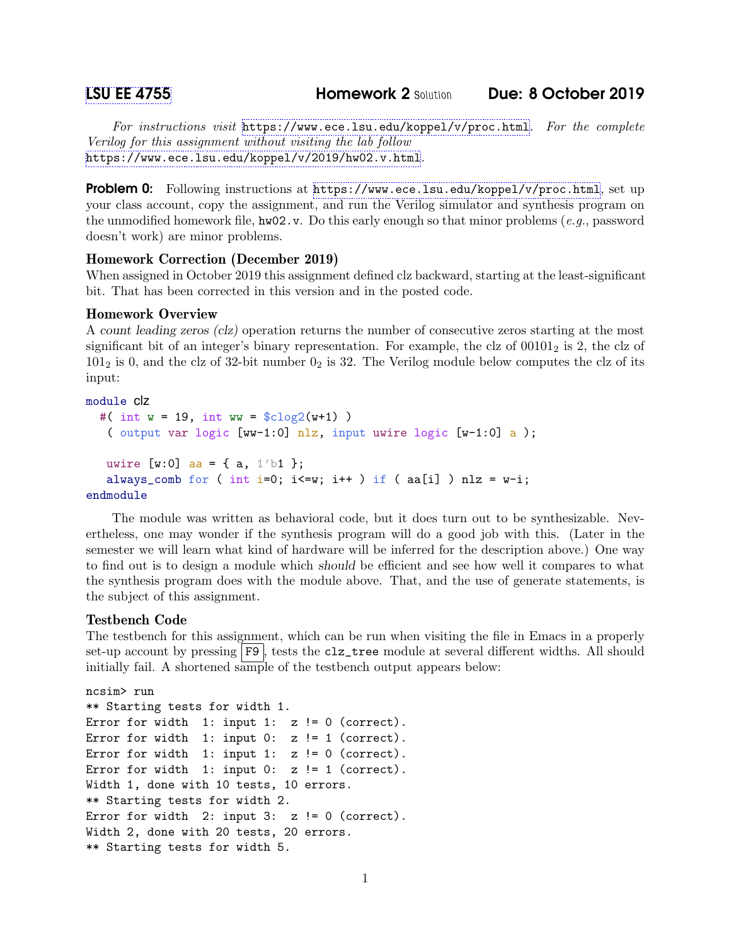For instructions visit <https://www.ece.lsu.edu/koppel/v/proc.html>. For the complete Verilog for this assignment without visiting the lab follow <https://www.ece.lsu.edu/koppel/v/2019/hw02.v.html>.

Problem 0: Following instructions at <https://www.ece.lsu.edu/koppel/v/proc.html>, set up your class account, copy the assignment, and run the Verilog simulator and synthesis program on the unmodified homework file,  $hw02.v$ . Do this early enough so that minor problems (e.g., password doesn't work) are minor problems.

## Homework Correction (December 2019)

When assigned in October 2019 this assignment defined clz backward, starting at the least-significant bit. That has been corrected in this version and in the posted code.

# Homework Overview

A count leading zeros (clz) operation returns the number of consecutive zeros starting at the most significant bit of an integer's binary representation. For example, the clz of  $00101<sub>2</sub>$  is 2, the clz of  $101<sub>2</sub>$  is 0, and the clz of 32-bit number  $0<sub>2</sub>$  is 32. The Verilog module below computes the clz of its input:

## module clz

```
#( int w = 19, int ww = $c \log(2(w+1)))
   ( output var logic [ww-1:0] nlz, input uwire logic [w-1:0] a );
   uwire [w:0] aa = { a, 1'b1 };
   always_comb for ( int i=0; i <= w; i + + ) if ( aa[i] ) nlz = w-i;
endmodule
```
The module was written as behavioral code, but it does turn out to be synthesizable. Nevertheless, one may wonder if the synthesis program will do a good job with this. (Later in the semester we will learn what kind of hardware will be inferred for the description above.) One way to find out is to design a module which should be efficient and see how well it compares to what the synthesis program does with the module above. That, and the use of generate statements, is the subject of this assignment.

#### Testbench Code

The testbench for this assignment, which can be run when visiting the file in Emacs in a properly set-up account by pressing F9, tests the clz\_tree module at several different widths. All should initially fail. A shortened sample of the testbench output appears below:

```
ncsim> run
** Starting tests for width 1.
Error for width 1: input 1: z != 0 (correct).
Error for width 1: input 0: z != 1 (correct).
Error for width 1: input 1: z != 0 (correct).
Error for width 1: input 0: z != 1 (correct).
Width 1, done with 10 tests, 10 errors.
** Starting tests for width 2.
Error for width 2: input 3: z != 0 (correct).
Width 2, done with 20 tests, 20 errors.
** Starting tests for width 5.
```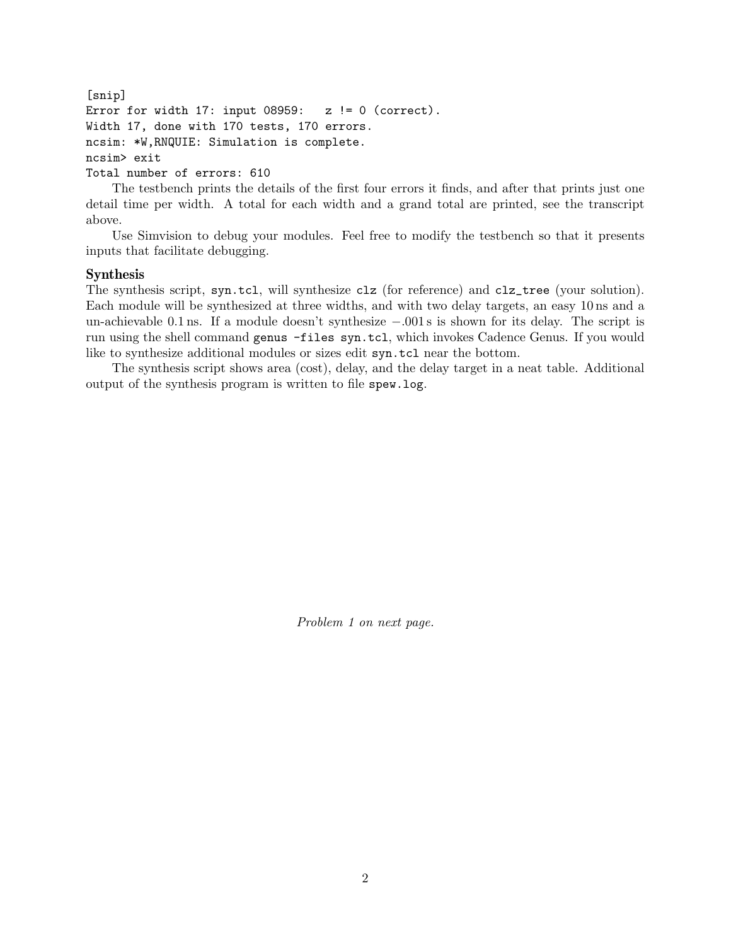```
[snip]
Error for width 17: input 08959: z != 0 (correct).
Width 17, done with 170 tests, 170 errors.
ncsim: *W,RNQUIE: Simulation is complete.
ncsim> exit
Total number of errors: 610
```
The testbench prints the details of the first four errors it finds, and after that prints just one detail time per width. A total for each width and a grand total are printed, see the transcript above.

Use Simvision to debug your modules. Feel free to modify the testbench so that it presents inputs that facilitate debugging.

# Synthesis

The synthesis script, syn.tcl, will synthesize clz (for reference) and clz\_tree (your solution). Each module will be synthesized at three widths, and with two delay targets, an easy 10 ns and a un-achievable 0.1 ns. If a module doesn't synthesize −.001 s is shown for its delay. The script is run using the shell command genus -files syn.tcl, which invokes Cadence Genus. If you would like to synthesize additional modules or sizes edit syn.tcl near the bottom.

The synthesis script shows area (cost), delay, and the delay target in a neat table. Additional output of the synthesis program is written to file spew.log.

Problem 1 on next page.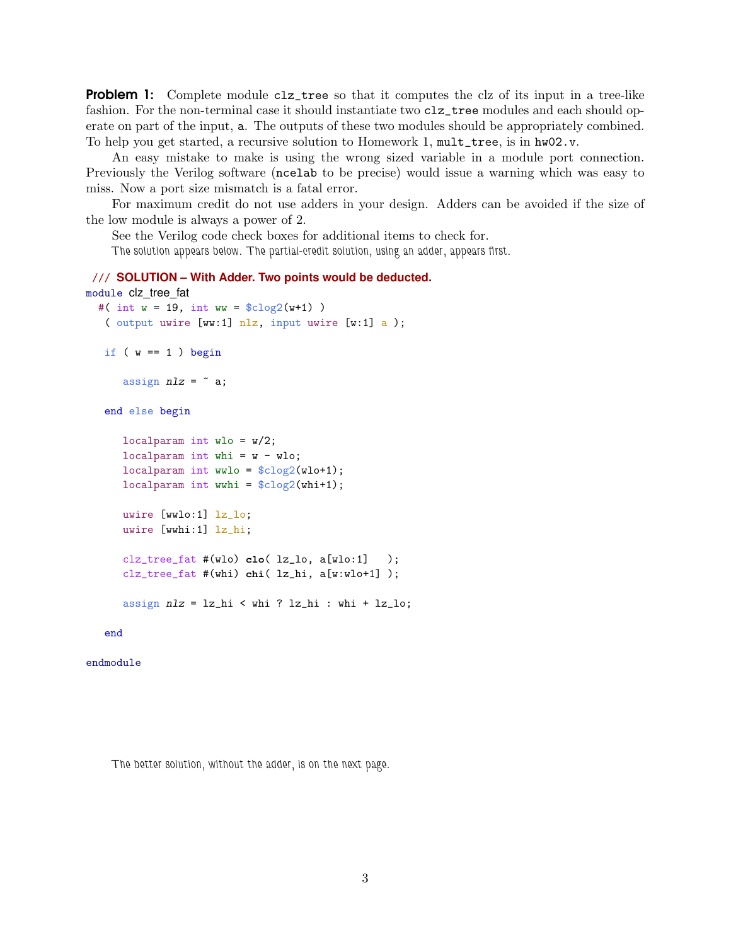**Problem 1:** Complete module clz\_tree so that it computes the clz of its input in a tree-like fashion. For the non-terminal case it should instantiate two clz\_tree modules and each should operate on part of the input, a. The outputs of these two modules should be appropriately combined. To help you get started, a recursive solution to Homework 1, mult\_tree, is in hw02.v.

An easy mistake to make is using the wrong sized variable in a module port connection. Previously the Verilog software (ncelab to be precise) would issue a warning which was easy to miss. Now a port size mismatch is a fatal error.

For maximum credit do not use adders in your design. Adders can be avoided if the size of the low module is always a power of 2.

See the Verilog code check boxes for additional items to check for.

The solution appears below. The partial-credit solution, using an adder, appears first.

```
/// SOLUTION – With Adder. Two points would be deducted.
module clz_tree_fat
  #( int w = 19, int ww = $c \log(2(w+1)))
   ( output uwire [ww:1] nlz, input uwire [w:1] a );
   if (w == 1) begin
      assign nlz = \tilde{a};
   end else begin
      localparam int wlo = w/2;
      localparam int whi = w - wlo;
      localparam int wwlo = clog2(wlo+1);localparam int wwhi = \frac{\cosh(1)}{\cosh(1)};
      uwire [wwlo:1] lz_lo;
      uwire [wwhi:1] lz_hi;
      clz_tree_fat #(wlo) clo( lz_lo, a[wlo:1] );
      clz_tree_fat #(whi) chi( lz_hi, a[w:wlo+1] );
      assign nlz = lz_hi < whi ? lz_hi : whi + lz_lo;
```
end

endmodule

The better solution, without the adder, is on the next page.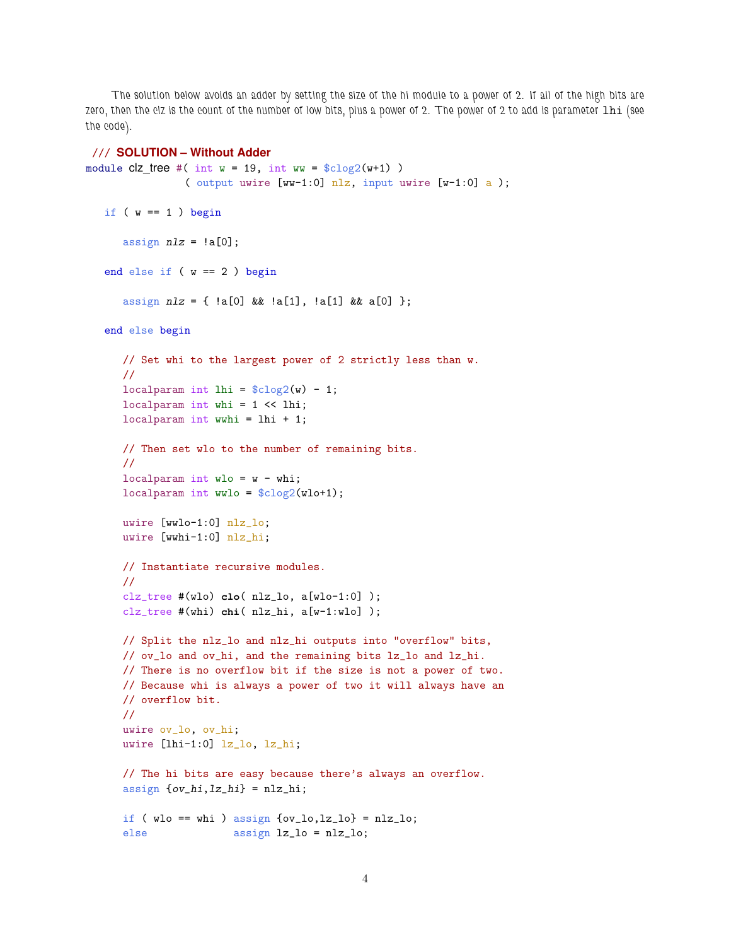The solution below avoids an adder by setting the size of the hi module to a power of 2. If all of the high bits are zero, then the clz is the count of the number of low bits, plus a power of 2. The power of 2 to add is parameter lhi (see the code).

#### /// **SOLUTION – Without Adder**

```
module clz_tree #( int w = 19, int ww = cloq2(w+1))
                ( output uwire [ww-1:0] nlz, input uwire [w-1:0] a );
   if (w == 1) begin
      assign nlz = !a[0];end else if ( w == 2 ) begin
      assign nlz = { |a[0] \&x |a[1], |a[1] \&x a[0] };end else begin
      // Set whi to the largest power of 2 strictly less than w.
      //
      localparam int lhi = \frac{\cosh(\theta)}{\cosh(\theta)} - 1;
      localparam int whi = 1 << lhi;
      localparam int wwhi = lhi + 1;
      // Then set wlo to the number of remaining bits.
      //
      localparam int wlo = w - whi;
      localparam int wwlo = \frac{2}{2}(w10+1);
      uwire [wwlo-1:0] nlz_lo;
      uwire [wwhi-1:0] nlz_hi;
      // Instantiate recursive modules.
      //
      clz_tree #(wlo) clo( nlz_lo, a[wlo-1:0] );
      clz_tree #(whi) chi( nlz_hi, a[w-1:wlo] );
      // Split the nlz_lo and nlz_hi outputs into "overflow" bits,
      // ov_lo and ov_hi, and the remaining bits lz_lo and lz_hi.
      // There is no overflow bit if the size is not a power of two.
      // Because whi is always a power of two it will always have an
      // overflow bit.
      //
      uwire ov_lo, ov_hi;
      uwire [lhi-1:0] lz_lo, lz_hi;
      // The hi bits are easy because there's always an overflow.
      assign \{ov\_hi, lz\_hi\} = nlz_hi;
      if (wlo == whi) assign \{ov_lo, lz_lo\} = nlz_lo;else assign lz_lo = nlz_lo;
```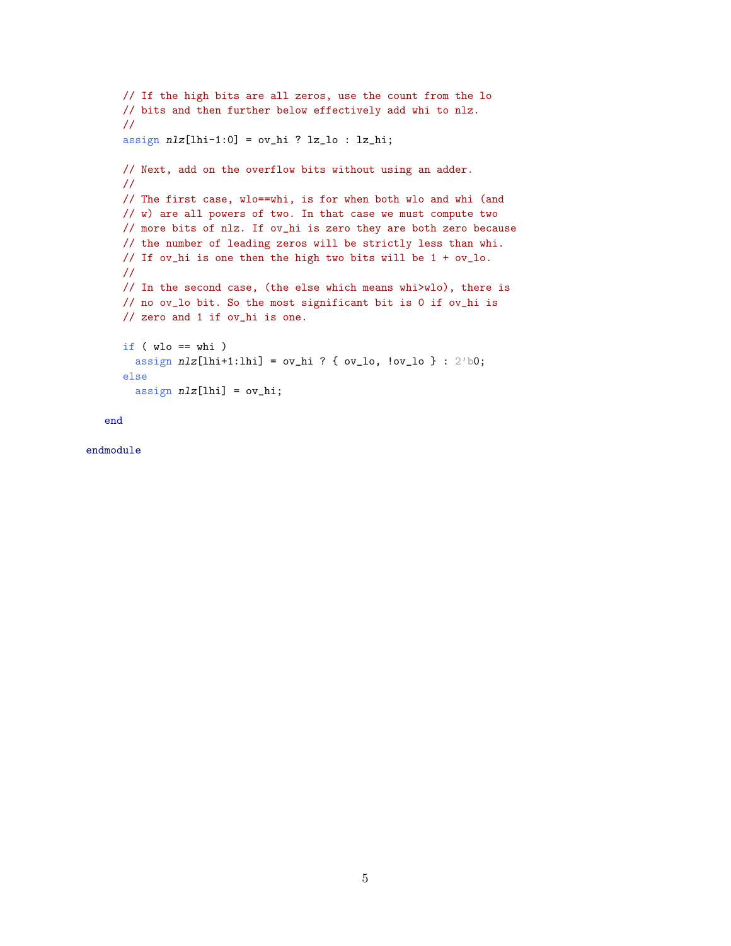```
// If the high bits are all zeros, use the count from the lo
// bits and then further below effectively add whi to nlz.
//
assign nlz[1hi-1:0] = ov_hi ? lz_lo : lz_hi;
// Next, add on the overflow bits without using an adder.
//
// The first case, wlo==whi, is for when both wlo and whi (and
// w) are all powers of two. In that case we must compute two
// more bits of nlz. If ov_hi is zero they are both zero because
// the number of leading zeros will be strictly less than whi.
// If ov_hi is one then the high two bits will be 1 + ov_lo.
//
// In the second case, (the else which means whi>wlo), there is
// no ov_lo bit. So the most significant bit is 0 if ov_hi is
// zero and 1 if ov_hi is one.
if ( wlo == whi )assign nlz[1hi+1:1hi] = ov_hi ? { ov_lo, lov_lo } : 2'b0;
else
  assign nlz[1hi] = ov_hi;
```

```
end
```
endmodule